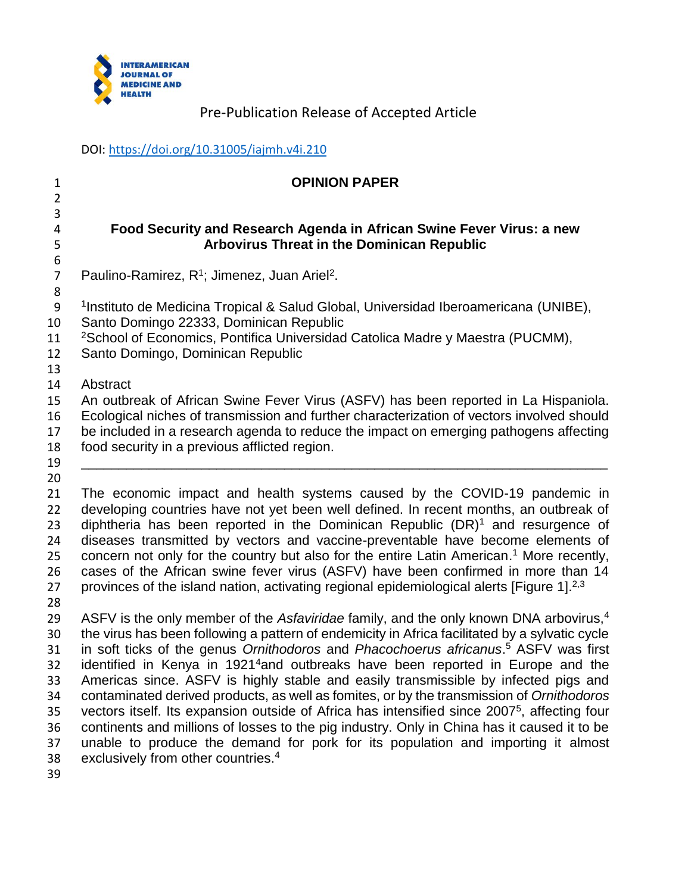

DOI:<https://doi.org/10.31005/iajmh.v4i.210>

# **OPINION PAPER**

## **Food Security and Research Agenda in African Swine Fever Virus: a new Arbovirus Threat in the Dominican Republic**

7 Paulino-Ramirez, R<sup>1</sup>; Jimenez, Juan Ariel<sup>2</sup>.

 <sup>1</sup> Instituto de Medicina Tropical & Salud Global, Universidad Iberoamericana (UNIBE),

- Santo Domingo 22333, Dominican Republic
- <sup>2</sup>School of Economics, Pontifica Universidad Catolica Madre y Maestra (PUCMM),
- Santo Domingo, Dominican Republic
- Abstract

An outbreak of African Swine Fever Virus (ASFV) has been reported in La Hispaniola.

Ecological niches of transmission and further characterization of vectors involved should

be included in a research agenda to reduce the impact on emerging pathogens affecting

 food security in a previous afflicted region. \_\_\_\_\_\_\_\_\_\_\_\_\_\_\_\_\_\_\_\_\_\_\_\_\_\_\_\_\_\_\_\_\_\_\_\_\_\_\_\_\_\_\_\_\_\_\_\_\_\_\_\_\_\_\_\_\_\_\_\_\_\_\_\_\_\_\_\_\_\_

 

 The economic impact and health systems caused by the COVID-19 pandemic in developing countries have not yet been well defined. In recent months, an outbreak of 23 diphtheria has been reported in the Dominican Republic  $(DR)^1$  and resurgence of diseases transmitted by vectors and vaccine-preventable have become elements of 25 concern not only for the country but also for the entire Latin American.<sup>1</sup> More recently, cases of the African swine fever virus (ASFV) have been confirmed in more than 14 27 provinces of the island nation, activating regional epidemiological alerts [Figure 1].<sup>2,3</sup>

ASFV is the only member of the *Asfaviridae* family, and the only known DNA arbovirus,<sup>4</sup> the virus has been following a pattern of endemicity in Africa facilitated by a sylvatic cycle in soft ticks of the genus *Ornithodoros* and *Phacochoerus africanus*. <sup>5</sup> ASFV was first 32 identified in Kenya in 1921<sup>4</sup> and outbreaks have been reported in Europe and the Americas since. ASFV is highly stable and easily transmissible by infected pigs and contaminated derived products, as well as fomites, or by the transmission of *Ornithodoros* 35 vectors itself. Its expansion outside of Africa has intensified since  $2007<sup>5</sup>$ , affecting four continents and millions of losses to the pig industry. Only in China has it caused it to be unable to produce the demand for pork for its population and importing it almost 38 exclusively from other countries.<sup>4</sup>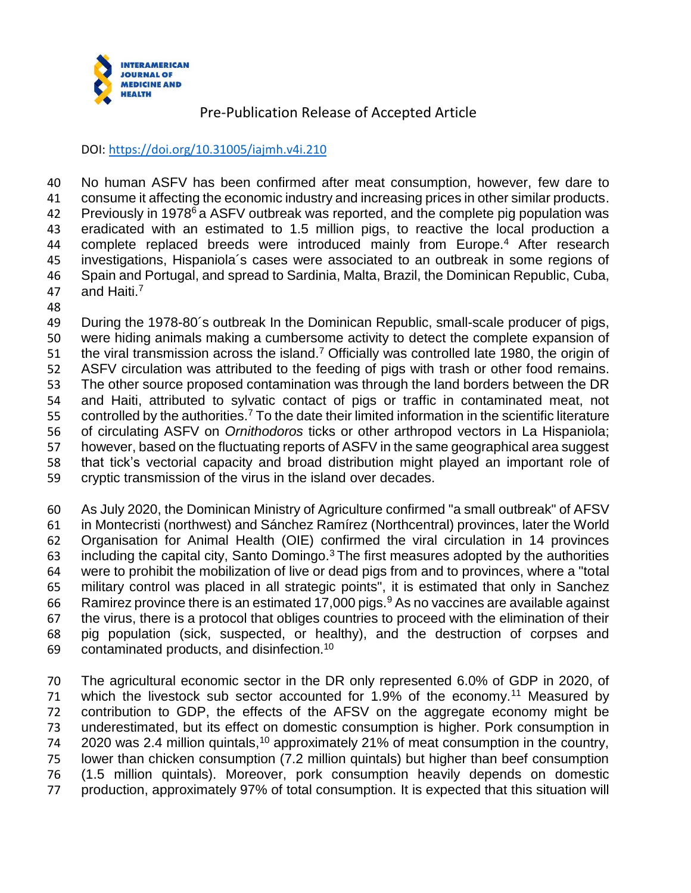

DOI:<https://doi.org/10.31005/iajmh.v4i.210>

 No human ASFV has been confirmed after meat consumption, however, few dare to consume it affecting the economic industry and increasing prices in other similar products. Az Previously in 1978<sup>6</sup> a ASFV outbreak was reported, and the complete pig population was eradicated with an estimated to 1.5 million pigs, to reactive the local production a 44 complete replaced breeds were introduced mainly from Europe.<sup>4</sup> After research investigations, Hispaniola´s cases were associated to an outbreak in some regions of Spain and Portugal, and spread to Sardinia, Malta, Brazil, the Dominican Republic, Cuba, 47 and Haiti.<sup>7</sup>

 During the 1978-80´s outbreak In the Dominican Republic, small-scale producer of pigs, were hiding animals making a cumbersome activity to detect the complete expansion of 51 the viral transmission across the island.<sup>7</sup> Officially was controlled late 1980, the origin of ASFV circulation was attributed to the feeding of pigs with trash or other food remains. The other source proposed contamination was through the land borders between the DR and Haiti, attributed to sylvatic contact of pigs or traffic in contaminated meat, not 55 controlled by the authorities.<sup>7</sup> To the date their limited information in the scientific literature of circulating ASFV on *Ornithodoros* ticks or other arthropod vectors in La Hispaniola; however, based on the fluctuating reports of ASFV in the same geographical area suggest that tick's vectorial capacity and broad distribution might played an important role of cryptic transmission of the virus in the island over decades.

 As July 2020, the Dominican Ministry of Agriculture confirmed "a small outbreak" of AFSV in Montecristi (northwest) and Sánchez Ramírez (Northcentral) provinces, later the World Organisation for Animal Health (OIE) confirmed the viral circulation in 14 provinces 63 including the capital city, Santo Domingo.<sup>3</sup> The first measures adopted by the authorities were to prohibit the mobilization of live or dead pigs from and to provinces, where a "total military control was placed in all strategic points", it is estimated that only in Sanchez 66 Ramirez province there is an estimated 17,000 pigs. As no vaccines are available against the virus, there is a protocol that obliges countries to proceed with the elimination of their pig population (sick, suspected, or healthy), and the destruction of corpses and 69 contaminated products, and disinfection.<sup>10</sup>

 The agricultural economic sector in the DR only represented 6.0% of GDP in 2020, of 71 which the livestock sub sector accounted for 1.9% of the economy.<sup>11</sup> Measured by contribution to GDP, the effects of the AFSV on the aggregate economy might be underestimated, but its effect on domestic consumption is higher. Pork consumption in was 2.4 million quintals,<sup>10</sup> approximately 21% of meat consumption in the country, lower than chicken consumption (7.2 million quintals) but higher than beef consumption (1.5 million quintals). Moreover, pork consumption heavily depends on domestic production, approximately 97% of total consumption. It is expected that this situation will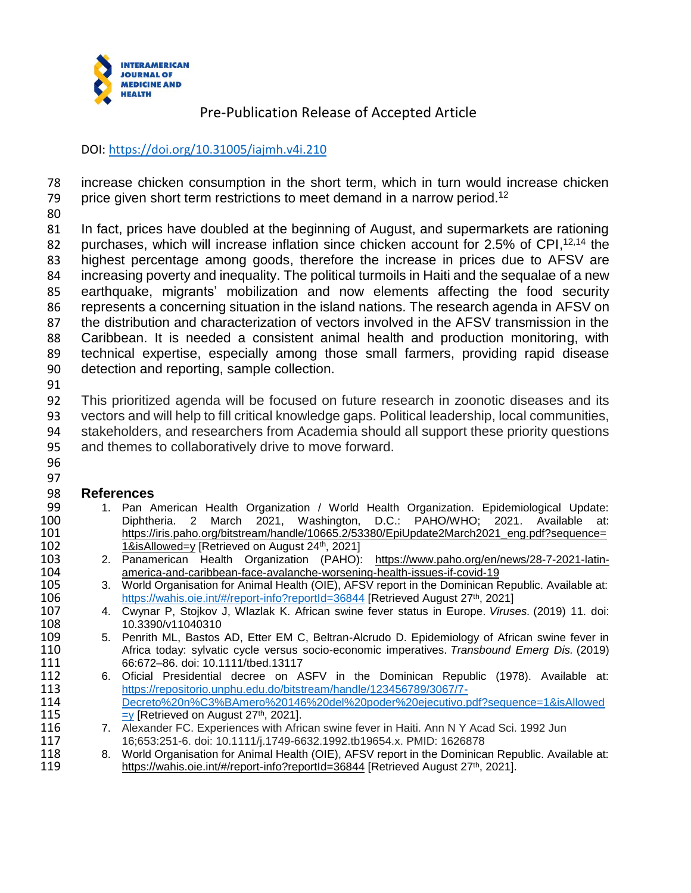

### DOI:<https://doi.org/10.31005/iajmh.v4i.210>

 increase chicken consumption in the short term, which in turn would increase chicken 79 price given short term restrictions to meet demand in a narrow period.<sup>12</sup>

 In fact, prices have doubled at the beginning of August, and supermarkets are rationing 82 purchases, which will increase inflation since chicken account for 2.5% of CPI, $12,14$  the highest percentage among goods, therefore the increase in prices due to AFSV are increasing poverty and inequality. The political turmoils in Haiti and the sequalae of a new earthquake, migrants' mobilization and now elements affecting the food security represents a concerning situation in the island nations. The research agenda in AFSV on the distribution and characterization of vectors involved in the AFSV transmission in the Caribbean. It is needed a consistent animal health and production monitoring, with technical expertise, especially among those small farmers, providing rapid disease detection and reporting, sample collection.

 This prioritized agenda will be focused on future research in zoonotic diseases and its vectors and will help to fill critical knowledge gaps. Political leadership, local communities, stakeholders, and researchers from Academia should all support these priority questions and themes to collaboratively drive to move forward.

 

- **References** 1. Pan American Health Organization / World Health Organization. Epidemiological Update: 100 Diphtheria. 2 March 2021, Washington, D.C.: PAHO/WHO; 2021. Available<br>101 https://iris.paho.org/bitstream/handle/10665.2/53380/EpiUpdate2March2021\_eng.pdf?sequen [https://iris.paho.org/bitstream/handle/10665.2/53380/EpiUpdate2March2021\\_eng.pdf?sequence=](https://iris.paho.org/bitstream/handle/10665.2/53380/EpiUpdate2March2021_eng.pdf?sequence=1&isAllowed=y)<br>102 1&isAllowed=y [Retrieved on August 24<sup>th</sup>, 2021] [1&isAllowed=y](https://iris.paho.org/bitstream/handle/10665.2/53380/EpiUpdate2March2021_eng.pdf?sequence=1&isAllowed=y) [Retrieved on August 24<sup>th</sup>, 2021]
- 103 2. Panamerican Health Organization (PAHO): https://www.paho.org/en/news/28-7-2021-latin-<br>104 merica-and-caribbean-face-avalanche-worsening-health-issues-if-covid-19 [america-and-caribbean-face-avalanche-worsening-health-issues-if-covid-19](https://www.paho.org/en/news/28-7-2021-latin-america-and-caribbean-face-avalanche-worsening-health-issues-if-covid-19)
- 3. World Organisation for Animal Health (OIE), AFSV report in the Dominican Republic. Available at: <https://wahis.oie.int/#/report-info?reportId=36844> [Retrieved August 27<sup>th</sup>, 2021]<br>107 4. Cwynar P, Stojkov J, Wlazlak K. African swine fever status in Europe. Virus
- 4. Cwynar P, Stojkov J, Wlazlak K. African swine fever status in Europe. *Viruses.* (2019) 11. doi: 10.3390/v11040310
- 109 5. Penrith ML, Bastos AD, Etter EM C, Beltran-Alcrudo D. Epidemiology of African swine fever in 110 *Africa today: sylvatic cycle versus socio-economic imperatives. Transbound Emerg Dis.* (2019) Africa today: sylvatic cycle versus socio-economic imperatives. *Transbound Emerg Dis.* (2019)
- 66:672–86. doi: 10.1111/tbed.13117 112 6. Oficial Presidential decree on ASFV in the Dominican Republic (1978). Available at:<br>113 https://repositorio.unphu.edu.do/bitstream/handle/123456789/3067/7[https://repositorio.unphu.edu.do/bitstream/handle/123456789/3067/7-](https://repositorio.unphu.edu.do/bitstream/handle/123456789/3067/7-Decreto%20n%C3%BAmero%20146%20del%20poder%20ejecutivo.pdf?sequence=1&isAllowed=y) [Decreto%20n%C3%BAmero%20146%20del%20poder%20ejecutivo.pdf?sequence=1&isAllowed](https://repositorio.unphu.edu.do/bitstream/handle/123456789/3067/7-Decreto%20n%C3%BAmero%20146%20del%20poder%20ejecutivo.pdf?sequence=1&isAllowed=y)<br>115 = V [Retrieved on August 27<sup>th</sup>, 2021].  $=$ y [Retrieved on August 27<sup>th</sup>, 2021].
- 116 7. Alexander FC. Experiences with African swine fever in Haiti. Ann N Y Acad Sci. 1992 Jun 16;653:251-6. doi: 10.1111/j.1749-6632.1992.tb19654.x. PMID: 1626878
- 118 8. World Organisation for Animal Health (OIE), AFSV report in the Dominican Republic. Available at:<br>119 https://wahis.oie.int/#/report-info?reportId=36844 [Retrieved August 27<sup>th</sup>, 2021]. <https://wahis.oie.int/#/report-info?reportId=36844> [Retrieved August 27<sup>th</sup>, 2021].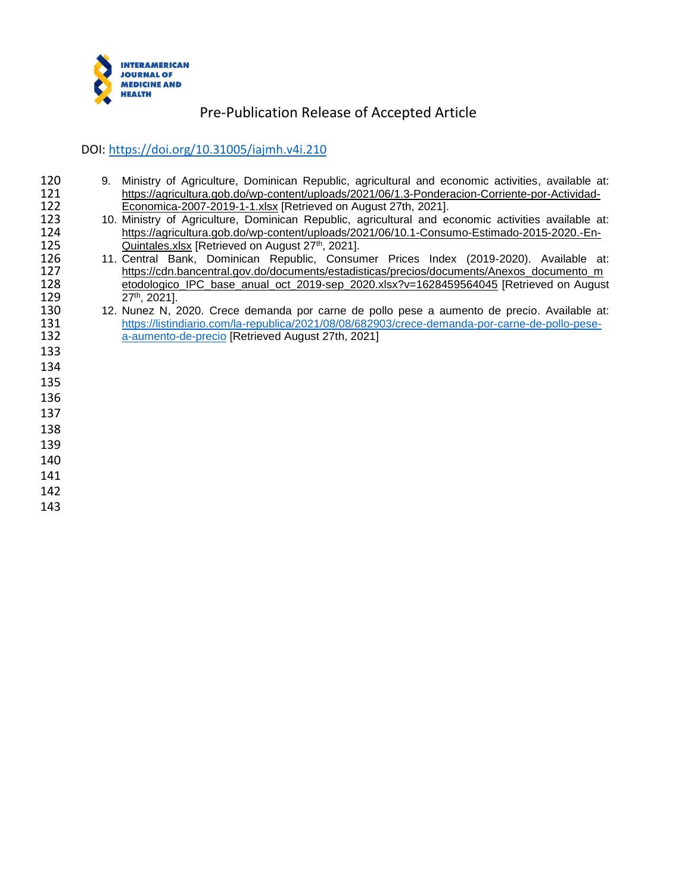

#### DOI:<https://doi.org/10.31005/iajmh.v4i.210>

- 9. Ministry of Agriculture, Dominican Republic, agricultural and economic activities, available at: 121 https://agricultura.gob.do/wp-content/uploads/2021/06/1.3-Ponderacion-Corriente-por-Actividad-<br>122 Economica-2007-2019-1-1.xlsx [Retrieved on August 27th. 2021]. [Economica-2007-2019-1-1.xlsx](https://agricultura.gob.do/wp-content/uploads/2021/06/1.3-Ponderacion-Corriente-por-Actividad-Economica-2007-2019-1-1.xlsx) [Retrieved on August 27th, 2021].<br>123 10. Ministry of Agriculture, Dominican Republic, agricultural and equation
- 10. Ministry of Agriculture, Dominican Republic, agricultural and economic activities available at: 124 https://agricultura.gob.do/wp-content/uploads/2021/06/10.1-Consumo-Estimado-2015-2020.-En-<br>125 Quintales.xlsx [Retrieved on August 27<sup>th</sup>, 2021].
- 125 **[Quintales.xlsx](https://agricultura.gob.do/wp-content/uploads/2021/06/10.1-Consumo-Estimado-2015-2020.-En-Quintales.xlsx) [Retrieved on August 27th, 2021].**<br>126 11. Central Bank, Dominican Republic, Consur 126 11. Central Bank, Dominican Republic, Consumer Prices Index (2019-2020). Available at:<br>127 https://cdn.bancentral.gov.do/documents/estadisticas/precios/documents/Anexos documento m [https://cdn.bancentral.gov.do/documents/estadisticas/precios/documents/Anexos\\_documento\\_m](https://cdn.bancentral.gov.do/documents/estadisticas/precios/documents/Anexos_documento_metodologico_IPC_base_anual_oct_2019-sep_2020.xlsx?v=1628459564045)<br>128 etodologico\_IPC\_base\_anual\_oct\_2019-sep\_2020.xlsx?v=1628459564045 [Retrieved on August [etodologico\\_IPC\\_base\\_anual\\_oct\\_2019-sep\\_2020.xlsx?v=1628459564045](https://cdn.bancentral.gov.do/documents/estadisticas/precios/documents/Anexos_documento_metodologico_IPC_base_anual_oct_2019-sep_2020.xlsx?v=1628459564045) [Retrieved on August 129
- 129 27<sup>th</sup>, 2021].<br>130 12. Nunez N, 2 130 12. Nunez N, 2020. Crece demanda por carne de pollo pese a aumento de precio. Available at:<br>131 https://listindiario.com/la-republica/2021/08/08/682903/crece-demanda-por-carne-de-pollo-pese-131 https://listindiario.com/la-republica/2021/08/08/682903/crece-demanda-por-carne-de-pollo-pese-<br>132 a-aumento-de-precio [Retrieved August 27th, 2021] [a-aumento-de-precio](https://listindiario.com/la-republica/2021/08/08/682903/crece-demanda-por-carne-de-pollo-pese-a-aumento-de-precio) [Retrieved August 27th, 2021]
- 
- 
- 
- 
- 
- 
- 
- 
-